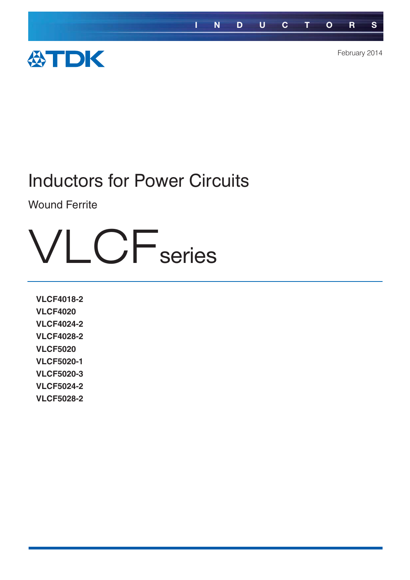

### Inductors for Power Circuits

Wound Ferrite

# **VLCF**series

**VLCF4018-2 VLCF4020 VLCF4024-2 VLCF4028-2 VLCF5020 VLCF5020-1 VLCF5020-3 VLCF5024-2 VLCF5028-2**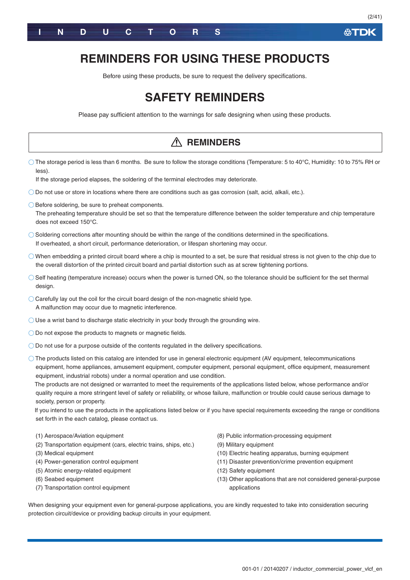

### **REMINDERS FOR USING THESE PRODUCTS**

Before using these products, be sure to request the delivery specifications.

### **SAFETY REMINDERS**

Please pay sufficient attention to the warnings for safe designing when using these products.

|                                                                                                                                                                                                                                                                                                                                                                                                                                                                                                                                                                                                                                                                                                                                                                                                                                                                     | <b>REMINDERS</b>                                                                                                                                                                                                                                                                               |  |  |  |  |  |
|---------------------------------------------------------------------------------------------------------------------------------------------------------------------------------------------------------------------------------------------------------------------------------------------------------------------------------------------------------------------------------------------------------------------------------------------------------------------------------------------------------------------------------------------------------------------------------------------------------------------------------------------------------------------------------------------------------------------------------------------------------------------------------------------------------------------------------------------------------------------|------------------------------------------------------------------------------------------------------------------------------------------------------------------------------------------------------------------------------------------------------------------------------------------------|--|--|--|--|--|
| $\circ$ The storage period is less than 6 months. Be sure to follow the storage conditions (Temperature: 5 to 40°C, Humidity: 10 to 75% RH or<br>less).<br>If the storage period elapses, the soldering of the terminal electrodes may deteriorate.                                                                                                                                                                                                                                                                                                                                                                                                                                                                                                                                                                                                                 |                                                                                                                                                                                                                                                                                                |  |  |  |  |  |
| $\bigcirc$ Do not use or store in locations where there are conditions such as gas corrosion (salt, acid, alkali, etc.).                                                                                                                                                                                                                                                                                                                                                                                                                                                                                                                                                                                                                                                                                                                                            |                                                                                                                                                                                                                                                                                                |  |  |  |  |  |
| ◯ Before soldering, be sure to preheat components.<br>The preheating temperature should be set so that the temperature difference between the solder temperature and chip temperature<br>does not exceed 150°C.                                                                                                                                                                                                                                                                                                                                                                                                                                                                                                                                                                                                                                                     |                                                                                                                                                                                                                                                                                                |  |  |  |  |  |
| $\bigcirc$ Soldering corrections after mounting should be within the range of the conditions determined in the specifications.<br>If overheated, a short circuit, performance deterioration, or lifespan shortening may occur.                                                                                                                                                                                                                                                                                                                                                                                                                                                                                                                                                                                                                                      |                                                                                                                                                                                                                                                                                                |  |  |  |  |  |
| $\bigcirc$ When embedding a printed circuit board where a chip is mounted to a set, be sure that residual stress is not given to the chip due to<br>the overall distortion of the printed circuit board and partial distortion such as at screw tightening portions.                                                                                                                                                                                                                                                                                                                                                                                                                                                                                                                                                                                                |                                                                                                                                                                                                                                                                                                |  |  |  |  |  |
| $\circlearrowright$ Self heating (temperature increase) occurs when the power is turned ON, so the tolerance should be sufficient for the set thermal<br>design.                                                                                                                                                                                                                                                                                                                                                                                                                                                                                                                                                                                                                                                                                                    |                                                                                                                                                                                                                                                                                                |  |  |  |  |  |
| $\bigcirc$ Carefully lay out the coil for the circuit board design of the non-magnetic shield type.<br>A malfunction may occur due to magnetic interference.                                                                                                                                                                                                                                                                                                                                                                                                                                                                                                                                                                                                                                                                                                        |                                                                                                                                                                                                                                                                                                |  |  |  |  |  |
| $\bigcirc$ Use a wrist band to discharge static electricity in your body through the grounding wire.                                                                                                                                                                                                                                                                                                                                                                                                                                                                                                                                                                                                                                                                                                                                                                |                                                                                                                                                                                                                                                                                                |  |  |  |  |  |
| $\bigcirc$ Do not expose the products to magnets or magnetic fields.                                                                                                                                                                                                                                                                                                                                                                                                                                                                                                                                                                                                                                                                                                                                                                                                |                                                                                                                                                                                                                                                                                                |  |  |  |  |  |
| $\bigcirc$ Do not use for a purpose outside of the contents regulated in the delivery specifications.                                                                                                                                                                                                                                                                                                                                                                                                                                                                                                                                                                                                                                                                                                                                                               |                                                                                                                                                                                                                                                                                                |  |  |  |  |  |
| $\circlearrowright$ The products listed on this catalog are intended for use in general electronic equipment (AV equipment, telecommunications<br>equipment, home appliances, amusement equipment, computer equipment, personal equipment, office equipment, measurement<br>equipment, industrial robots) under a normal operation and use condition.<br>The products are not designed or warranted to meet the requirements of the applications listed below, whose performance and/or<br>quality require a more stringent level of safety or reliability, or whose failure, malfunction or trouble could cause serious damage to<br>society, person or property.<br>If you intend to use the products in the applications listed below or if you have special requirements exceeding the range or conditions<br>set forth in the each catalog, please contact us. |                                                                                                                                                                                                                                                                                                |  |  |  |  |  |
| (1) Aerospace/Aviation equipment<br>(2) Transportation equipment (cars, electric trains, ships, etc.)<br>(3) Medical equipment<br>(4) Power-generation control equipment<br>(5) Atomic energy-related equipment<br>(6) Seabed equipment<br>(7) Transportation control equipment<br>When designing your equipment even for general-purpose applications, you are kindly requested to take into consideration securing<br>protection circuit/device or providing backup circuits in your equipment.                                                                                                                                                                                                                                                                                                                                                                   | (8) Public information-processing equipment<br>(9) Military equipment<br>(10) Electric heating apparatus, burning equipment<br>(11) Disaster prevention/crime prevention equipment<br>(12) Safety equipment<br>(13) Other applications that are not considered general-purpose<br>applications |  |  |  |  |  |

**公TDK**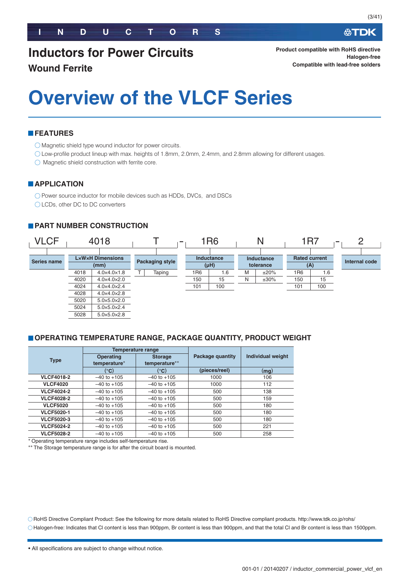### **Inductors for Power Circuits Wound Ferrite**

必TDK

**Product compatible with RoHS directive Halogen-free Compatible with lead-free solders**

# **Overview of the VLCF Series**

#### **FEATURES**

Magnetic shield type wound inductor for power circuits.

Low-profile product lineup with max. heights of 1.8mm, 2.0mm, 2.4mm, and 2.8mm allowing for different usages.

 $\bigcirc$  Magnetic shield construction with ferrite core.

#### **APPLICATION**

O Power source inductor for mobile devices such as HDDs, DVCs, and DSCs

◯ LCDs, other DC to DC converters

#### **PART NUMBER CONSTRUCTION**



#### **OPERATING TEMPERATURE RANGE, PACKAGE QUANTITY, PRODUCT WEIGHT**

|                   |                                  | <b>Temperature range</b>        |                         |                          |
|-------------------|----------------------------------|---------------------------------|-------------------------|--------------------------|
| <b>Type</b>       | <b>Operating</b><br>temperature* | <b>Storage</b><br>temperature** | <b>Package quantity</b> | <b>Individual weight</b> |
|                   | (°C)                             | (°C)                            | (pieces/reel)           | (mg)                     |
| <b>VLCF4018-2</b> | $-40$ to $+105$                  | $-40$ to $+105$                 | 1000                    | 106                      |
| <b>VLCF4020</b>   | $-40$ to $+105$                  | $-40$ to $+105$                 | 1000                    | 112                      |
| <b>VLCF4024-2</b> | $-40$ to $+105$                  | $-40$ to $+105$                 | 500                     | 138                      |
| <b>VLCF4028-2</b> | $-40$ to $+105$                  | $-40$ to $+105$                 | 500                     | 159                      |
| <b>VLCF5020</b>   | $-40$ to $+105$                  | $-40$ to $+105$                 | 500                     | 180                      |
| <b>VLCF5020-1</b> | $-40$ to $+105$                  | $-40$ to $+105$                 | 500                     | 180                      |
| <b>VLCF5020-3</b> | $-40$ to $+105$                  | $-40$ to $+105$                 | 500                     | 180                      |
| <b>VLCF5024-2</b> | $-40$ to $+105$                  | $-40$ to $+105$                 | 500                     | 221                      |
| <b>VLCF5028-2</b> | $-40$ to $+105$                  | $-40$ to $+105$                 | 500                     | 258                      |

-Operating temperature range includes self-temperature rise.

\*\* The Storage temperature range is for after the circuit board is mounted.

RoHS Directive Compliant Product: See the following for more details related to RoHS Directive compliant products. http://www.tdk.co.jp/rohs/ Halogen-free: Indicates that Cl content is less than 900ppm, Br content is less than 900ppm, and that the total Cl and Br content is less than 1500ppm.

<sup>•</sup> All specifications are subject to change without notice.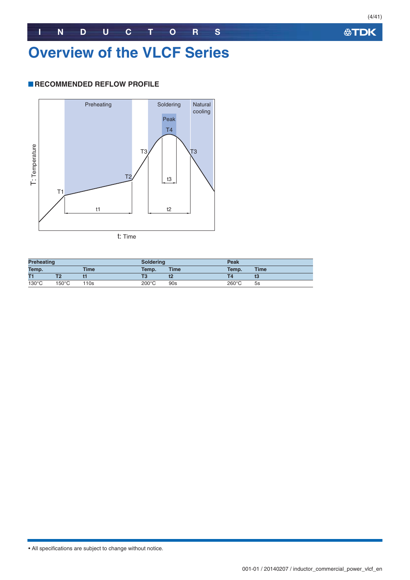### **INDUCTORS**

### **Overview of the VLCF Series**

#### **RECOMMENDED REFLOW PROFILE**



**Preheating Soldering Peak Temp. Time Temp. Time Temp. Time T1 T2 t1 T3 t2 T4 t3** 130°C 150°C 110s 200°C 90s 260°C 5s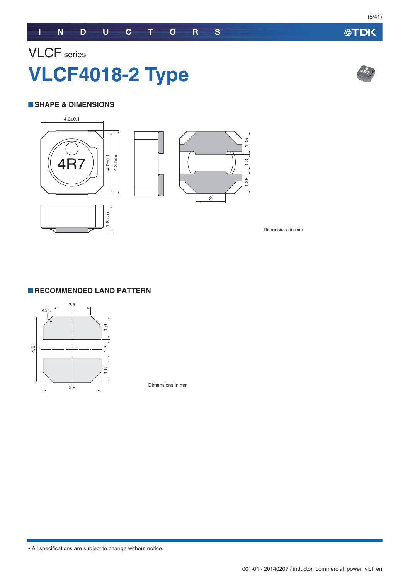## VLCF series **VLCF4018-2 Type**

#### **SHAPE & DIMENSIONS**



Dimensions in mm

#### **RECOMMENDED LAND PATTERN**



Dimensions in mm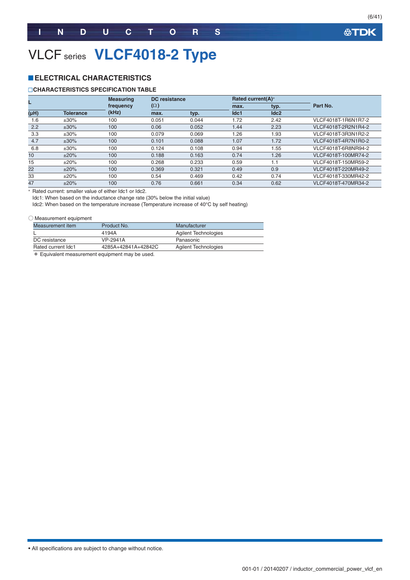(6/41)

### VLCF series **VLCF4018-2 Type**

#### **ELECTRICAL CHARACTERISTICS**

#### **CHARACTERISTICS SPECIFICATION TABLE**

| L                 |                  | <b>Measuring</b> | DC resistance |       | Rated current(A)* |      |                     |
|-------------------|------------------|------------------|---------------|-------|-------------------|------|---------------------|
|                   |                  | frequency        | $(\Omega)$    |       | max.              | typ. | Part No.            |
| (H <sub>H</sub> ) | <b>Tolerance</b> | (kHz)            | max.          | typ.  | Idc1              | Idc2 |                     |
| 1.6               | $±30\%$          | 100              | 0.051         | 0.044 | 1.72              | 2.42 | VLCF4018T-1R6N1R7-2 |
| 2.2               | $±30\%$          | 100              | 0.06          | 0.052 | 1.44              | 2.23 | VLCF4018T-2R2N1R4-2 |
| 3.3               | $±30\%$          | 100              | 0.079         | 0.069 | 1.26              | 1.93 | VLCF4018T-3R3N1R2-2 |
| 4.7               | $±30\%$          | 100              | 0.101         | 0.088 | 1.07              | 1.72 | VLCF4018T-4R7N1R0-2 |
| 6.8               | $±30\%$          | 100              | 0.124         | 0.108 | 0.94              | 1.55 | VLCF4018T-6R8NR94-2 |
| 10                | ±20%             | 100              | 0.188         | 0.163 | 0.74              | 1.26 | VLCF4018T-100MR74-2 |
| 15                | ±20%             | 100              | 0.268         | 0.233 | 0.59              | 1.1  | VLCF4018T-150MR59-2 |
| 22                | ±20%             | 100              | 0.369         | 0.321 | 0.49              | 0.9  | VLCF4018T-220MR49-2 |
| 33                | ±20%             | 100              | 0.54          | 0.469 | 0.42              | 0.74 | VLCF4018T-330MR42-2 |
| 47                | ±20%             | 100              | 0.76          | 0.661 | 0.34              | 0.62 | VLCF4018T-470MR34-2 |

- Rated current: smaller value of either Idc1 or Idc2.

Idc1: When based on the inductance change rate (30% below the initial value)

Idc2: When based on the temperature increase (Temperature increase of 40°C by self heating)

#### ○ Measurement equipment

| Measurement item   | Product No.         | Manufacturer         |  |
|--------------------|---------------------|----------------------|--|
|                    | 4194A               | Agilent Technologies |  |
| DC resistance      | VP-2941A            | Panasonic            |  |
| Rated current Idc1 | 4285A+42841A+42842C | Agilent Technologies |  |
|                    |                     |                      |  |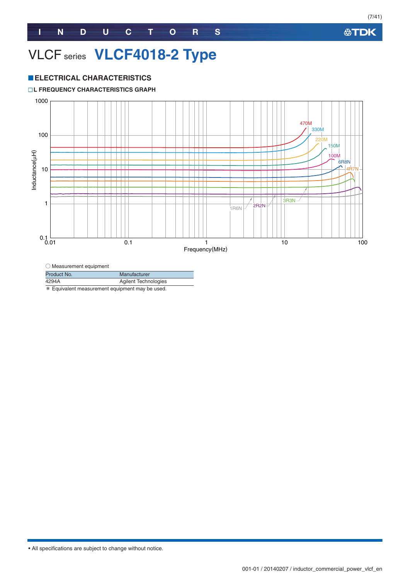### VLCF series **VLCF4018-2 Type**

#### **ELECTRICAL CHARACTERISTICS**

#### **L FREQUENCY CHARACTERISTICS GRAPH**



 $\bigcirc$  Measurement equipment Product No. Manufacturer

| 4294A | <b>Agilent Technologies</b> |
|-------|-----------------------------|
|       |                             |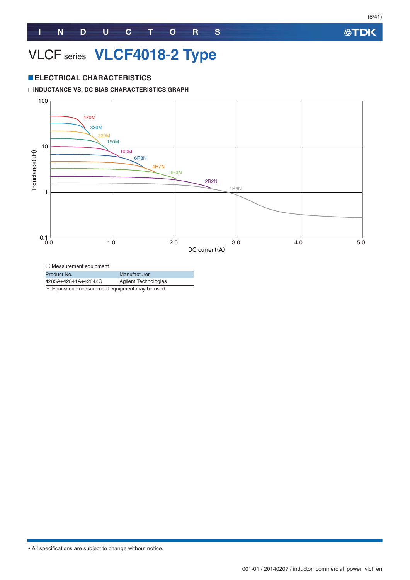### VLCF series **VLCF4018-2 Type**

#### **ELECTRICAL CHARACTERISTICS**

#### **INDUCTANCE VS. DC BIAS CHARACTERISTICS GRAPH**



 $\bigcirc$  Measurement equipment

Product No. Manufacturer

4285A+42841A+42842C Agilent Technologies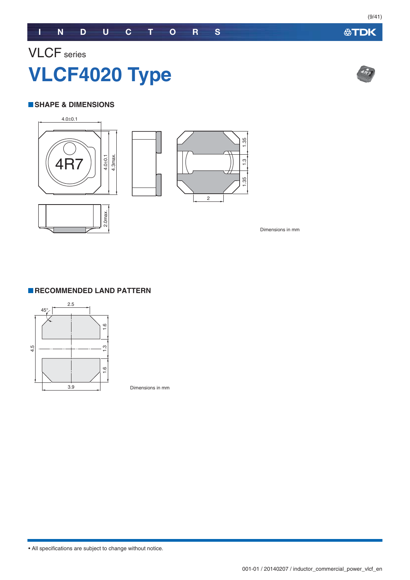#### **SHAPE & DIMENSIONS**



Dimensions in mm



Dimensions in mm

• All specifications are subject to change without notice.



**公TDK**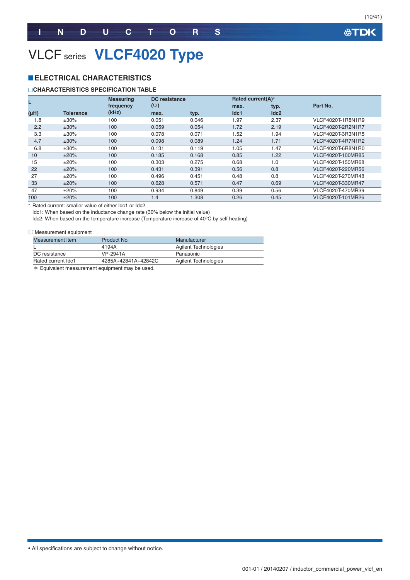(10/41)

### VLCF series **VLCF4020 Type**

#### **ELECTRICAL CHARACTERISTICS**

#### **CHARACTERISTICS SPECIFICATION TABLE**

|      |                  | <b>Measuring</b> |            | <b>DC</b> resistance |      | Rated current(A)* |                          |
|------|------------------|------------------|------------|----------------------|------|-------------------|--------------------------|
|      |                  | frequency        | $(\Omega)$ |                      | max. | typ.              | Part No.                 |
| (HH) | <b>Tolerance</b> | (kHz)            | max.       | typ.                 | Idc1 | Idc2              |                          |
| 1.8  | $±30\%$          | 100              | 0.051      | 0.046                | 1.97 | 2.37              | VLCF4020T-1R8N1R9        |
| 2.2  | $±30\%$          | 100              | 0.059      | 0.054                | 1.72 | 2.19              | <b>VLCF4020T-2R2N1R7</b> |
| 3.3  | $±30\%$          | 100              | 0.078      | 0.071                | 1.52 | 1.94              | VLCF4020T-3R3N1R5        |
| 4.7  | $±30\%$          | 100              | 0.098      | 0.089                | 1.24 | 1.71              | VLCF4020T-4R7N1R2        |
| 6.8  | $±30\%$          | 100              | 0.131      | 0.119                | 1.05 | 1.47              | VLCF4020T-6R8N1R0        |
| 10   | ±20%             | 100              | 0.185      | 0.168                | 0.85 | 1.22              | VLCF4020T-100MR85        |
| 15   | ±20%             | 100              | 0.303      | 0.275                | 0.68 | 1.0               | VLCF4020T-150MR68        |
| 22   | ±20%             | 100              | 0.431      | 0.391                | 0.56 | 0.8               | VLCF4020T-220MR56        |
| 27   | ±20%             | 100              | 0.496      | 0.451                | 0.48 | 0.8               | VLCF4020T-270MR48        |
| 33   | ±20%             | 100              | 0.628      | 0.571                | 0.47 | 0.69              | VLCF4020T-330MR47        |
| 47   | $±20\%$          | 100              | 0.934      | 0.849                | 0.39 | 0.56              | VLCF4020T-470MR39        |
| 100  | ±20%             | 100              | 1.4        | 1.308                | 0.26 | 0.45              | VLCF4020T-101MR26        |

- Rated current: smaller value of either Idc1 or Idc2.

Idc1: When based on the inductance change rate (30% below the initial value)

Idc2: When based on the temperature increase (Temperature increase of 40°C by self heating)

#### ○ Measurement equipment

| Measurement item   | Product No.         | Manufacturer                |
|--------------------|---------------------|-----------------------------|
|                    | 4194A               | <b>Agilent Technologies</b> |
| DC resistance      | VP-2941A            | Panasonic                   |
| Rated current Idc1 | 4285A+42841A+42842C | Agilent Technologies        |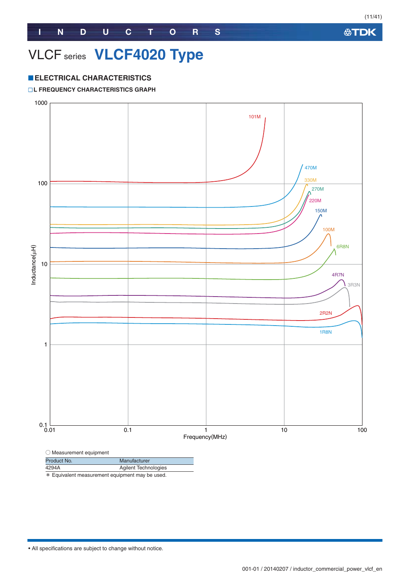### VLCF series **VLCF4020 Type**

#### **ELECTRICAL CHARACTERISTICS**

#### **L FREQUENCY CHARACTERISTICS GRAPH**

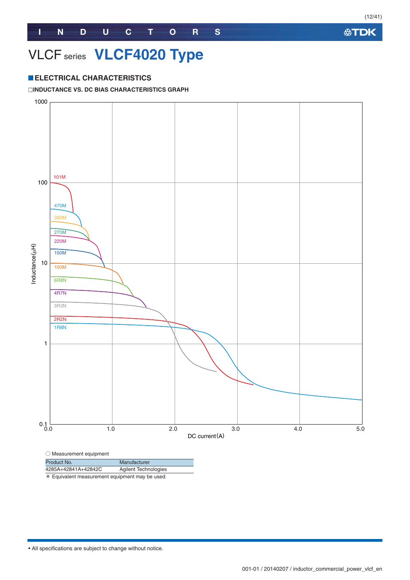### VLCF series **VLCF4020 Type**

#### **ELECTRICAL CHARACTERISTICS**

#### **INDUCTANCE VS. DC BIAS CHARACTERISTICS GRAPH**



| Product No.         | Manufacturer                |
|---------------------|-----------------------------|
| 4285A+42841A+42842C | <b>Agilent Technologies</b> |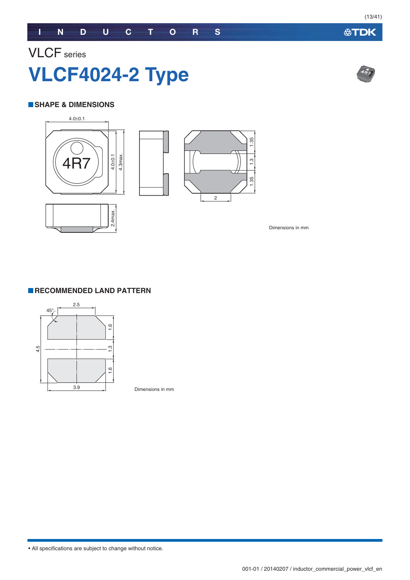### VLCF series **VLCF4024-2 Type**

#### **SHAPE & DIMENSIONS**



Dimensions in mm



Dimensions in mm

• All specifications are subject to change without notice.



**公TDK**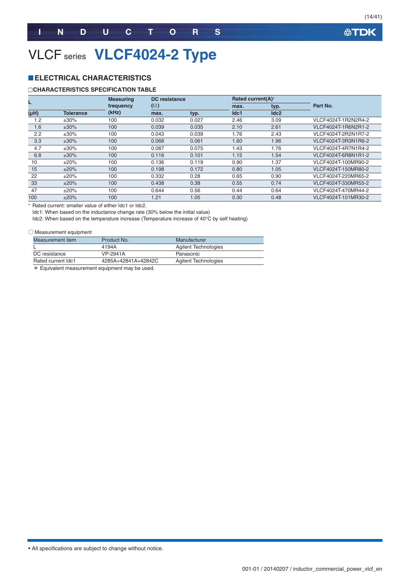(14/41)

### VLCF series **VLCF4024-2 Type**

#### **ELECTRICAL CHARACTERISTICS**

#### **CHARACTERISTICS SPECIFICATION TABLE**

|      |                  | <b>Measuring</b> | DC resistance |       | Rated current(A)* |                  |                     |  |
|------|------------------|------------------|---------------|-------|-------------------|------------------|---------------------|--|
|      |                  | frequency        | $(\Omega)$    |       | max.              | typ.             | Part No.            |  |
| (µH) | <b>Tolerance</b> | (kHz)            | max.          | typ.  | Idc1              | Idc <sub>2</sub> |                     |  |
| 1.2  | $±30\%$          | 100              | 0.032         | 0.027 | 2.46              | 3.09             | VLCF4024T-1R2N2R4-2 |  |
| 1.6  | $±30\%$          | 100              | 0.039         | 0.035 | 2.10              | 2.61             | VLCF4024T-1R6N2R1-2 |  |
| 2.2  | $±30\%$          | 100              | 0.043         | 0.039 | 1.76              | 2.43             | VLCF4024T-2R2N1R7-2 |  |
| 3.3  | $±30\%$          | 100              | 0.068         | 0.061 | 1.60              | 1.96             | VLCF4024T-3R3N1R6-2 |  |
| 4.7  | $±30\%$          | 100              | 0.087         | 0.075 | 1.43              | 1.76             | VLCF4024T-4R7N1R4-2 |  |
| 6.8  | $±30\%$          | 100              | 0.116         | 0.101 | 1.15              | 1.54             | VLCF4024T-6R8N1R1-2 |  |
| 10   | ±20%             | 100              | 0.136         | 0.119 | 0.90              | 1.37             | VLCF4024T-100MR90-2 |  |
| 15   | ±20%             | 100              | 0.198         | 0.172 | 0.80              | 1.05             | VLCF4024T-150MR80-2 |  |
| 22   | ±20%             | 100              | 0.332         | 0.28  | 0.65              | 0.90             | VLCF4024T-220MR65-2 |  |
| 33   | ±20%             | 100              | 0.438         | 0.38  | 0.55              | 0.74             | VLCF4024T-330MR55-2 |  |
| 47   | $\pm 20\%$       | 100              | 0.644         | 0.56  | 0.44              | 0.64             | VLCF4024T-470MR44-2 |  |
| 100  | ±20%             | 100              | 1.21          | 1.05  | 0.30              | 0.48             | VLCF4024T-101MR30-2 |  |

- Rated current: smaller value of either Idc1 or Idc2.

Idc1: When based on the inductance change rate (30% below the initial value)

Idc2: When based on the temperature increase (Temperature increase of 40°C by self heating)

#### ○ Measurement equipment

| Measurement item   | Product No.         | Manufacturer                |
|--------------------|---------------------|-----------------------------|
|                    | 4194A               | <b>Agilent Technologies</b> |
| DC resistance      | VP-2941A            | Panasonic                   |
| Rated current Idc1 | 4285A+42841A+42842C | Agilent Technologies        |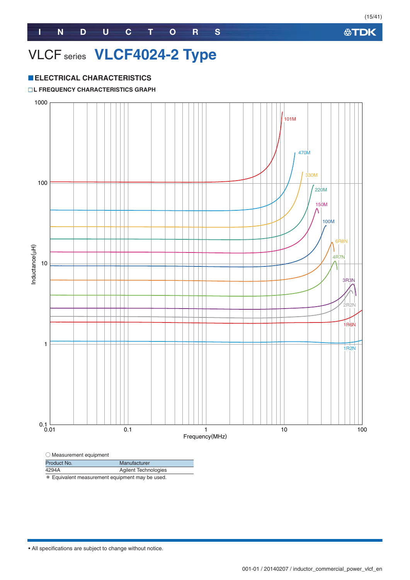### VLCF series **VLCF4024-2 Type**

#### **ELECTRICAL CHARACTERISTICS**

#### **L FREQUENCY CHARACTERISTICS GRAPH**



| Product No. | Manufacturer                |
|-------------|-----------------------------|
| 4294A       | <b>Agilent Technologies</b> |
|             |                             |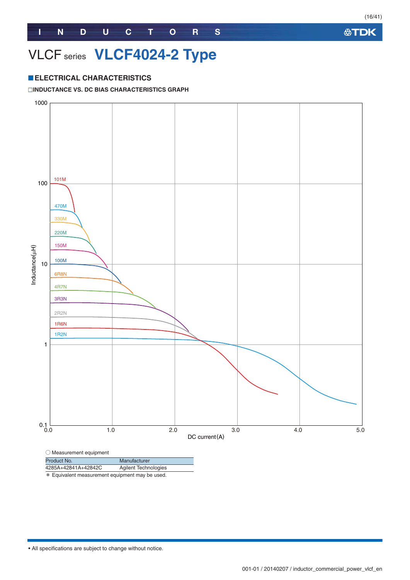### VLCF series **VLCF4024-2 Type**

#### **ELECTRICAL CHARACTERISTICS**

#### **INDUCTANCE VS. DC BIAS CHARACTERISTICS GRAPH**

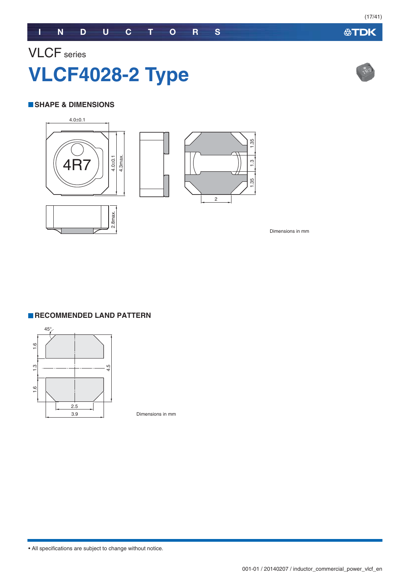## VLCF series **VLCF4028-2 Type**

#### **SHAPE & DIMENSIONS**



Dimensions in mm



Dimensions in mm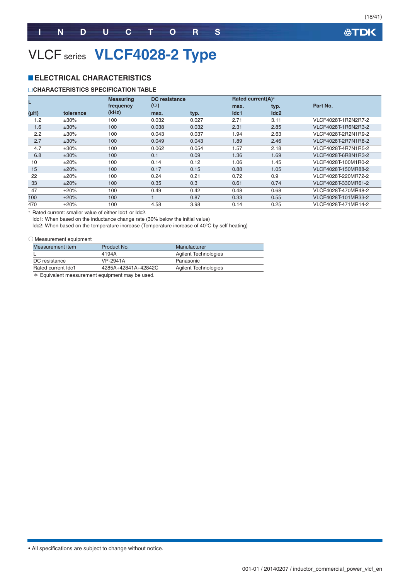### VLCF series **VLCF4028-2 Type**

#### **ELECTRICAL CHARACTERISTICS**

#### **CHARACTERISTICS SPECIFICATION TABLE**

|      |           | <b>Measuring</b> | <b>DC</b> resistance |       | Rated current(A)* |      |                     |
|------|-----------|------------------|----------------------|-------|-------------------|------|---------------------|
|      |           | frequency        | $(\Omega)$           |       | max.              | typ. | Part No.            |
| (Hu) | tolerance | (kHz)            | max.                 | typ.  | Idc1              | Idc2 |                     |
| 1.2  | ±30%      | 100              | 0.032                | 0.027 | 2.71              | 3.11 | VLCF4028T-1R2N2R7-2 |
| 1.6  | $±30\%$   | 100              | 0.038                | 0.032 | 2.31              | 2.85 | VLCF4028T-1R6N2R3-2 |
| 2.2  | $±30\%$   | 100              | 0.043                | 0.037 | 1.94              | 2.63 | VLCF4028T-2R2N1R9-2 |
| 2.7  | $±30\%$   | 100              | 0.049                | 0.043 | 1.89              | 2.46 | VLCF4028T-2R7N1R8-2 |
| 4.7  | $±30\%$   | 100              | 0.062                | 0.054 | 1.57              | 2.18 | VLCF4028T-4R7N1R5-2 |
| 6.8  | $±30\%$   | 100              | 0.1                  | 0.09  | 1.36              | 1.69 | VLCF4028T-6R8N1R3-2 |
| 10   | ±20%      | 100              | 0.14                 | 0.12  | 1.06              | 1.45 | VLCF4028T-100M1R0-2 |
| 15   | ±20%      | 100              | 0.17                 | 0.15  | 0.88              | 1.05 | VLCF4028T-150MR88-2 |
| 22   | ±20%      | 100              | 0.24                 | 0.21  | 0.72              | 0.9  | VLCF4028T-220MR72-2 |
| 33   | ±20%      | 100              | 0.35                 | 0.3   | 0.61              | 0.74 | VLCF4028T-330MR61-2 |
| 47   | ±20%      | 100              | 0.49                 | 0.42  | 0.48              | 0.68 | VLCF4028T-470MR48-2 |
| 100  | ±20%      | 100              |                      | 0.87  | 0.33              | 0.55 | VLCF4028T-101MR33-2 |
| 470  | ±20%      | 100              | 4.58                 | 3.98  | 0.14              | 0.25 | VLCF4028T-471MR14-2 |

- Rated current: smaller value of either Idc1 or Idc2.

Idc1: When based on the inductance change rate (30% below the initial value)

Idc2: When based on the temperature increase (Temperature increase of 40°C by self heating)

#### ○ Measurement equipment

| Measurement item   | Product No.         | Manufacturer                |
|--------------------|---------------------|-----------------------------|
|                    | 4194A               | Agilent Technologies        |
| DC resistance      | VP-2941A            | Panasonic                   |
| Rated current Idc1 | 4285A+42841A+42842C | <b>Agilent Technologies</b> |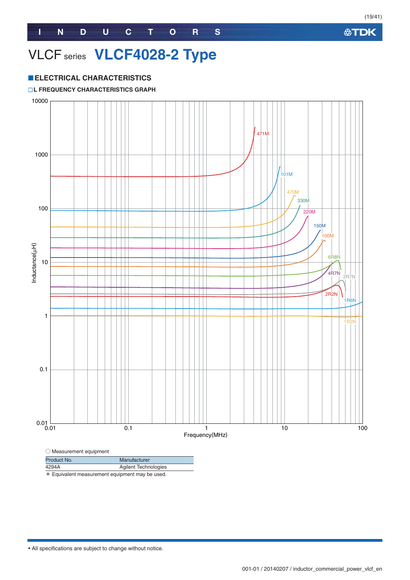### VLCF series **VLCF4028-2 Type**

#### **ELECTRICAL CHARACTERISTICS**

#### **L FREQUENCY CHARACTERISTICS GRAPH**



4294A Agilent Technologies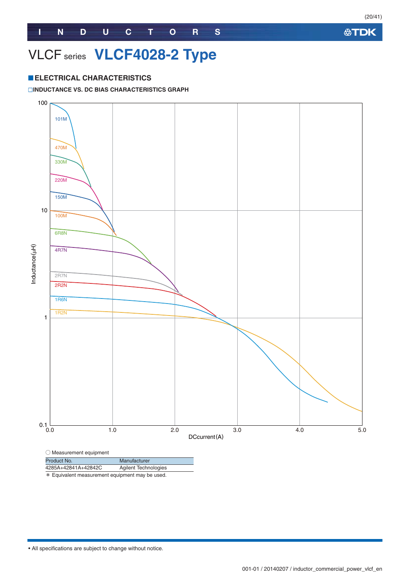### VLCF series **VLCF4028-2 Type**

#### **ELECTRICAL CHARACTERISTICS**

#### **INDUCTANCE VS. DC BIAS CHARACTERISTICS GRAPH**

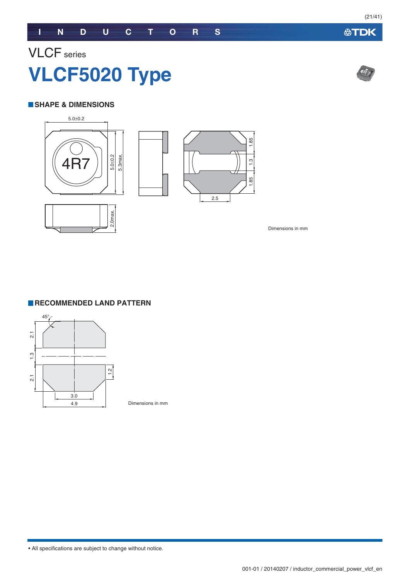## VLCF series **VLCF5020 Type**

#### **SHAPE & DIMENSIONS**



Dimensions in mm

#### **RECOMMENDED LAND PATTERN**



Dimensions in mm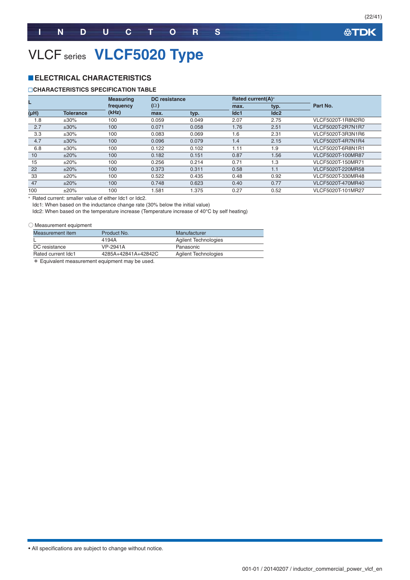(22/41)

### VLCF series **VLCF5020 Type**

#### **ELECTRICAL CHARACTERISTICS**

#### **CHARACTERISTICS SPECIFICATION TABLE**

|      |                  | <b>Measuring</b> | DC resistance |       | Rated current(A)* |      |                   |
|------|------------------|------------------|---------------|-------|-------------------|------|-------------------|
|      |                  | frequency        | $(\Omega)$    |       | max.              | typ. | Part No.          |
| (HH) | <b>Tolerance</b> | (kHz)            | max.          | typ.  | Idc1              | Idc2 |                   |
| 1.8  | $±30\%$          | 100              | 0.059         | 0.049 | 2.07              | 2.75 | VLCF5020T-1R8N2R0 |
| 2.7  | $±30\%$          | 100              | 0.071         | 0.058 | 1.76              | 2.51 | VLCF5020T-2R7N1R7 |
| 3.3  | $±30\%$          | 100              | 0.083         | 0.069 | 1.6               | 2.31 | VLCF5020T-3R3N1R6 |
| 4.7  | $±30\%$          | 100              | 0.096         | 0.079 | 1.4               | 2.15 | VLCF5020T-4R7N1R4 |
| 6.8  | $±30\%$          | 100              | 0.122         | 0.102 | 1.11              | 1.9  | VLCF5020T-6R8N1R1 |
| 10   | ±20%             | 100              | 0.182         | 0.151 | 0.87              | 1.56 | VLCF5020T-100MR87 |
| 15   | ±20%             | 100              | 0.256         | 0.214 | 0.71              | 1.3  | VLCF5020T-150MR71 |
| 22   | ±20%             | 100              | 0.373         | 0.311 | 0.58              | 1.1  | VLCF5020T-220MR58 |
| 33   | ±20%             | 100              | 0.522         | 0.435 | 0.48              | 0.92 | VLCF5020T-330MR48 |
| 47   | ±20%             | 100              | 0.748         | 0.623 | 0.40              | 0.77 | VLCF5020T-470MR40 |
| 100  | ±20%             | 100              | 1.581         | .375  | 0.27              | 0.52 | VLCF5020T-101MR27 |

- Rated current: smaller value of either Idc1 or Idc2.

Idc1: When based on the inductance change rate (30% below the initial value)

Idc2: When based on the temperature increase (Temperature increase of 40°C by self heating)

#### ○ Measurement equipment

| Measurement item   | Product No.         | Manufacturer                |
|--------------------|---------------------|-----------------------------|
|                    | 4194A               | Agilent Technologies        |
| DC resistance      | VP-2941A            | Panasonic                   |
| Rated current Idc1 | 4285A+42841A+42842C | <b>Agilent Technologies</b> |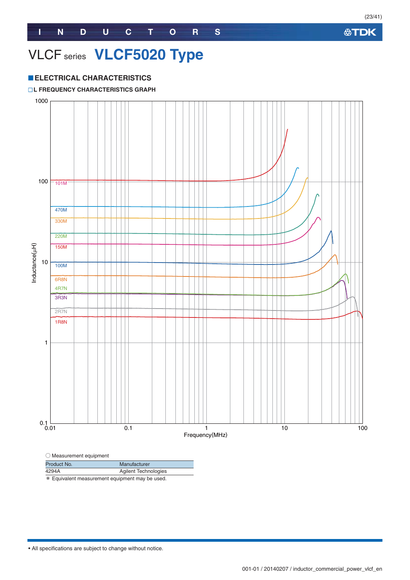### VLCF series **VLCF5020 Type**

#### **ELECTRICAL CHARACTERISTICS**

#### **L FREQUENCY CHARACTERISTICS GRAPH**



| $\sim$ measurement equipment |                             |  |  |  |
|------------------------------|-----------------------------|--|--|--|
| Product No.                  | Manufacturer                |  |  |  |
| 4294A                        | <b>Agilent Technologies</b> |  |  |  |
| .                            |                             |  |  |  |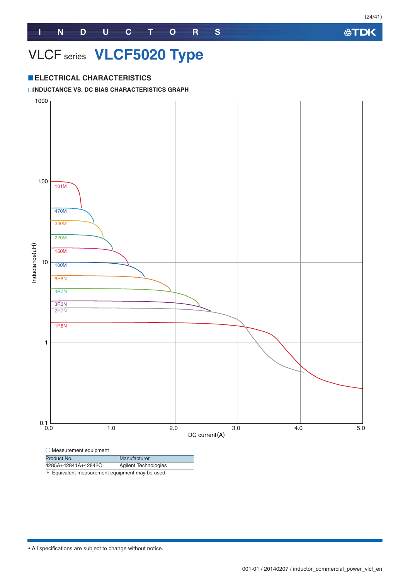### VLCF series **VLCF5020 Type**

#### **ELECTRICAL CHARACTERISTICS**

#### **INDUCTANCE VS. DC BIAS CHARACTERISTICS GRAPH**



\* Equivalent measurement equipment may be used.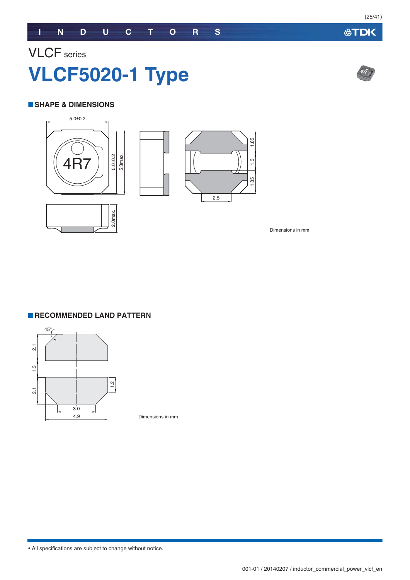### VLCF series **VLCF5020-1 Type**

#### **SHAPE & DIMENSIONS**



Dimensions in mm

**RECOMMENDED LAND PATTERN** 



Dimensions in mm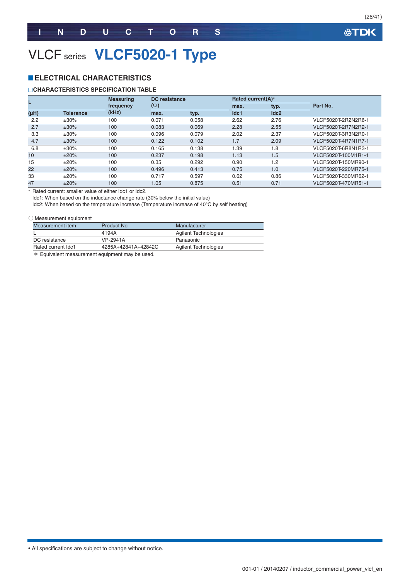(26/41)

### VLCF series **VLCF5020-1 Type**

#### **ELECTRICAL CHARACTERISTICS**

#### **CHARACTERISTICS SPECIFICATION TABLE**

|      |                  | <b>Measuring</b> | DC resistance |       | Rated current(A)* |      |                     |
|------|------------------|------------------|---------------|-------|-------------------|------|---------------------|
|      |                  | frequency        | $(\Omega)$    |       | max.              | typ. | Part No.            |
| (µH) | <b>Tolerance</b> | (kHz)            | max.          | typ.  | Idc1              | Idc2 |                     |
| 2.2  | $\pm 30\%$       | 100              | 0.071         | 0.058 | 2.62              | 2.76 | VLCF5020T-2R2N2R6-1 |
| 2.7  | $±30\%$          | 100              | 0.083         | 0.069 | 2.28              | 2.55 | VLCF5020T-2R7N2R2-1 |
| 3.3  | $±30\%$          | 100              | 0.096         | 0.079 | 2.02              | 2.37 | VLCF5020T-3R3N2R0-1 |
| 4.7  | $±30\%$          | 100              | 0.122         | 0.102 | 1.7               | 2.09 | VLCF5020T-4R7N1R7-1 |
| 6.8  | $±30\%$          | 100              | 0.165         | 0.138 | 1.39              | 1.8  | VLCF5020T-6R8N1R3-1 |
| 10   | ±20%             | 100              | 0.237         | 0.198 | 1.13              | 1.5  | VLCF5020T-100M1R1-1 |
| 15   | ±20%             | 100              | 0.35          | 0.292 | 0.90              | 1.2  | VLCF5020T-150MR90-1 |
| 22   | ±20%             | 100              | 0.496         | 0.413 | 0.75              | 1.0  | VLCF5020T-220MR75-1 |
| 33   | ±20%             | 100              | 0.717         | 0.597 | 0.62              | 0.86 | VLCF5020T-330MR62-1 |
| 47   | ±20%             | 100              | 1.05          | 0.875 | 0.51              | 0.71 | VLCF5020T-470MR51-1 |

- Rated current: smaller value of either Idc1 or Idc2.

Idc1: When based on the inductance change rate (30% below the initial value)

Idc2: When based on the temperature increase (Temperature increase of 40°C by self heating)

#### ○ Measurement equipment

| Measurement item   | Product No.         | Manufacturer         |  |
|--------------------|---------------------|----------------------|--|
|                    | 4194A               | Agilent Technologies |  |
| DC resistance      | VP-2941A            | Panasonic            |  |
| Rated current Idc1 | 4285A+42841A+42842C | Agilent Technologies |  |
|                    |                     |                      |  |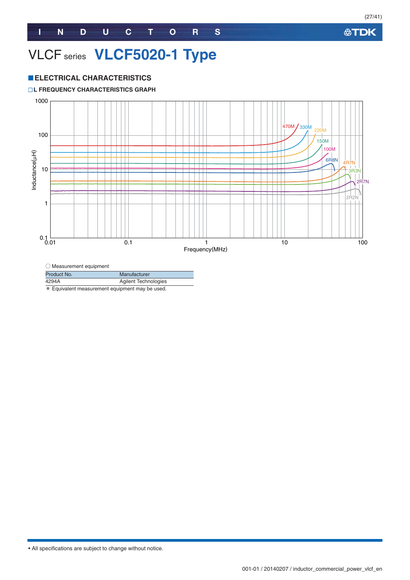### VLCF series **VLCF5020-1 Type**

#### **ELECTRICAL CHARACTERISTICS**

#### **L FREQUENCY CHARACTERISTICS GRAPH**



○ Measurement equipment

| Product No. | Manufacturer                |
|-------------|-----------------------------|
| 4294A       | <b>Agilent Technologies</b> |
|             |                             |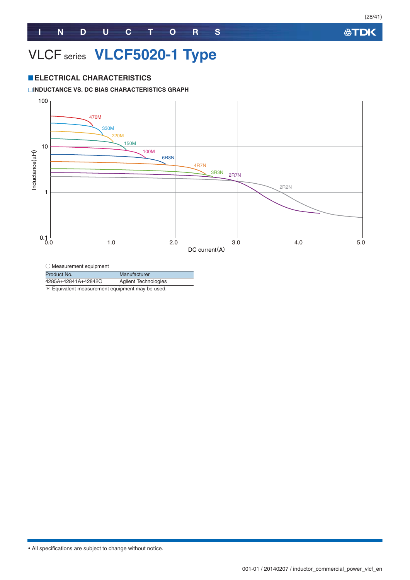### VLCF series **VLCF5020-1 Type**

#### **ELECTRICAL CHARACTERISTICS**

#### **INDUCTANCE VS. DC BIAS CHARACTERISTICS GRAPH**



 $\bigcirc$  Measurement equipment

Product No. Manufacturer

4285A+42841A+42842C Agilent Technologies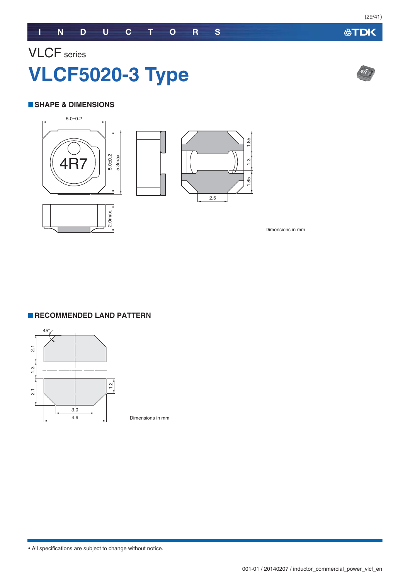## VLCF series **VLCF5020-3 Type**

#### **SHAPE & DIMENSIONS**



Dimensions in mm

#### **RECOMMENDED LAND PATTERN**



Dimensions in mm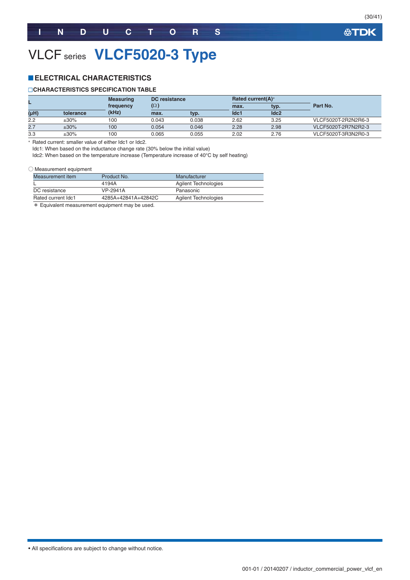(30/41)

### VLCF series **VLCF5020-3 Type**

#### **ELECTRICAL CHARACTERISTICS**

#### **CHARACTERISTICS SPECIFICATION TABLE**

|      |           | <b>Measuring</b> |            | <b>DC</b> resistance |      | Rated current(A)* |                     |
|------|-----------|------------------|------------|----------------------|------|-------------------|---------------------|
|      |           | frequency        | $(\Omega)$ |                      | max. | typ.              | Part No.            |
| (µH) | tolerance | (kHz)            | max.       | tvp.                 | Idc1 | Idc2              |                     |
| 2.2  | $±30\%$   | 100              | 0.043      | 0.038                | 2.62 | 3.25              | VLCF5020T-2R2N2R6-3 |
| 2.7  | $±30\%$   | 100              | 0.054      | 0.046                | 2.28 | 2.98              | VLCF5020T-2R7N2R2-3 |
| 3.3  | ±30%      | 100              | 0.065      | 0.055                | 2.02 | 2.76              | VLCF5020T-3R3N2R0-3 |

- Rated current: smaller value of either Idc1 or Idc2.

Idc1: When based on the inductance change rate (30% below the initial value)

Idc2: When based on the temperature increase (Temperature increase of 40°C by self heating)

#### ○ Measurement equipment

| Product No.         | Manufacturer         |
|---------------------|----------------------|
| 4194A               | Agilent Technologies |
| VP-2941A            | Panasonic            |
| 4285A+42841A+42842C | Agilent Technologies |
|                     |                      |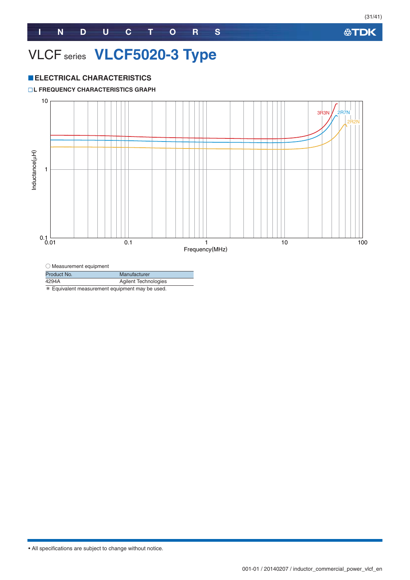### VLCF series **VLCF5020-3 Type**

#### **ELECTRICAL CHARACTERISTICS**

#### **L FREQUENCY CHARACTERISTICS GRAPH**



| Product No. | Manufacturer                |
|-------------|-----------------------------|
| 4294A       | <b>Agilent Technologies</b> |
|             |                             |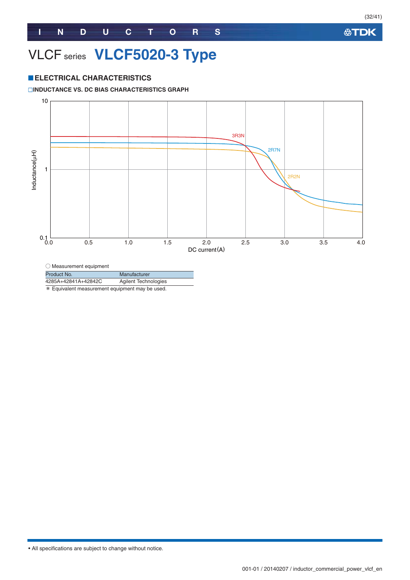### VLCF series **VLCF5020-3 Type**

#### **ELECTRICAL CHARACTERISTICS**

#### **INDUCTANCE VS. DC BIAS CHARACTERISTICS GRAPH**



 $\bigcirc$  Measurement equipment

Product No. Manufacturer

4285A+42841A+42842C Agilent Technologies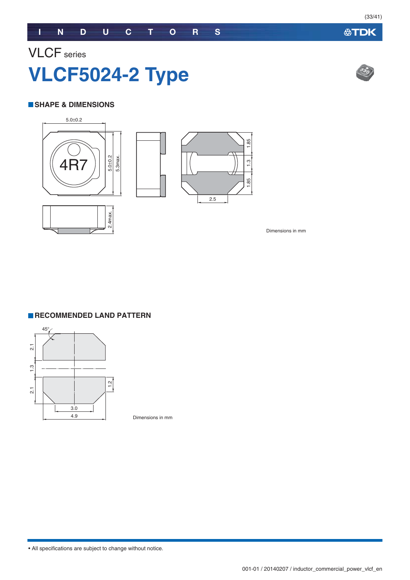### VLCF series **VLCF5024-2 Type**

#### **SHAPE & DIMENSIONS**



Dimensions in mm

#### **RECOMMENDED LAND PATTERN**



Dimensions in mm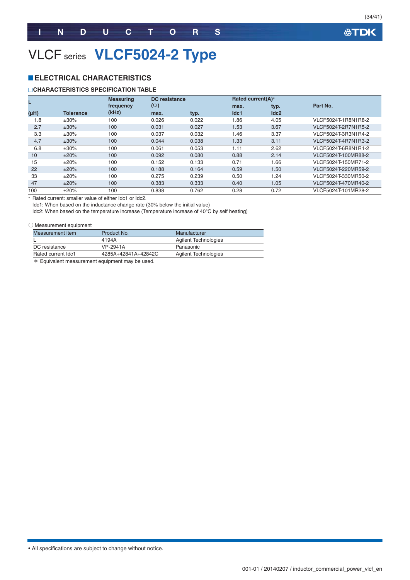(34/41)

### VLCF series **VLCF5024-2 Type**

#### **ELECTRICAL CHARACTERISTICS**

#### **CHARACTERISTICS SPECIFICATION TABLE**

| L                 |                  | <b>Measuring</b> | <b>DC</b> resistance |       | Rated current(A)* |      |                     |
|-------------------|------------------|------------------|----------------------|-------|-------------------|------|---------------------|
|                   |                  | frequency        | $(\Omega)$           |       | max.              | typ. | Part No.            |
| (H <sub>H</sub> ) | <b>Tolerance</b> | (kHz)            | max.                 | typ.  | Idc1              | Idc2 |                     |
| 1.8               | $±30\%$          | 100              | 0.026                | 0.022 | 1.86              | 4.05 | VLCF5024T-1R8N1R8-2 |
| 2.7               | $±30\%$          | 100              | 0.031                | 0.027 | 1.53              | 3.67 | VLCF5024T-2R7N1R5-2 |
| 3.3               | $\pm 30\%$       | 100              | 0.037                | 0.032 | 1.46              | 3.37 | VLCF5024T-3R3N1R4-2 |
| 4.7               | $±30\%$          | 100              | 0.044                | 0.038 | 1.33              | 3.11 | VLCF5024T-4R7N1R3-2 |
| 6.8               | $±30\%$          | 100              | 0.061                | 0.053 | 1.11              | 2.62 | VLCF5024T-6R8N1R1-2 |
| 10                | ±20%             | 100              | 0.092                | 0.080 | 0.88              | 2.14 | VLCF5024T-100MR88-2 |
| 15                | ±20%             | 100              | 0.152                | 0.133 | 0.71              | 1.66 | VLCF5024T-150MR71-2 |
| 22                | ±20%             | 100              | 0.188                | 0.164 | 0.59              | 1.50 | VLCF5024T-220MR59-2 |
| 33                | ±20%             | 100              | 0.275                | 0.239 | 0.50              | 1.24 | VLCF5024T-330MR50-2 |
| 47                | ±20%             | 100              | 0.383                | 0.333 | 0.40              | 1.05 | VLCF5024T-470MR40-2 |
| 100               | ±20%             | 100              | 0.838                | 0.762 | 0.28              | 0.72 | VLCF5024T-101MR28-2 |

- Rated current: smaller value of either Idc1 or Idc2.

Idc1: When based on the inductance change rate (30% below the initial value)

Idc2: When based on the temperature increase (Temperature increase of 40°C by self heating)

#### ○ Measurement equipment

| Measurement item   | Product No.         | Manufacturer                |
|--------------------|---------------------|-----------------------------|
|                    | 4194A               | Agilent Technologies        |
| DC resistance      | VP-2941A            | Panasonic                   |
| Rated current Idc1 | 4285A+42841A+42842C | <b>Agilent Technologies</b> |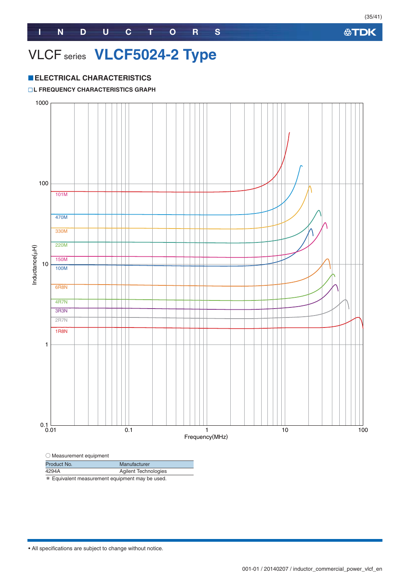### VLCF series **VLCF5024-2 Type**

#### **ELECTRICAL CHARACTERISTICS**

#### **L FREQUENCY CHARACTERISTICS GRAPH**



| $\sim$ $\cdots$ $\sim$ $\cdots$ $\sim$ $\cdots$ $\sim$ $\cdots$                                     |                      |
|-----------------------------------------------------------------------------------------------------|----------------------|
| Product No.                                                                                         | Manufacturer         |
| 4294A                                                                                               | Agilent Technologies |
| nder Ende de la celebra de la compagnie de la condición de la constitución de la constitución de la |                      |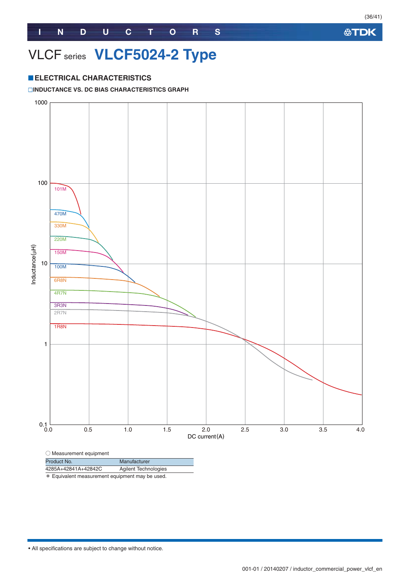### VLCF series **VLCF5024-2 Type**

#### **ELECTRICAL CHARACTERISTICS**

#### **INDUCTANCE VS. DC BIAS CHARACTERISTICS GRAPH**



\* Equivalent measurement equipment may be used.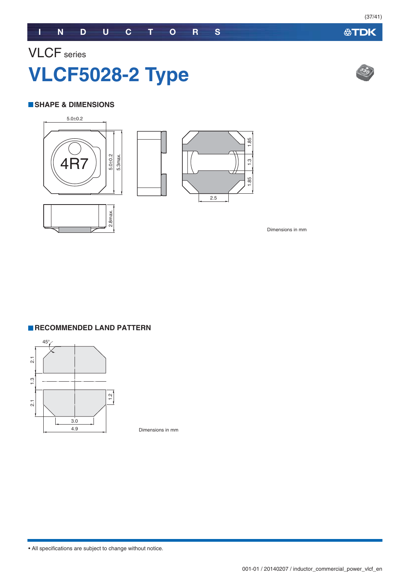### VLCF series **VLCF5028-2 Type**

#### **SHAPE & DIMENSIONS**



Dimensions in mm

#### **RECOMMENDED LAND PATTERN**



Dimensions in mm



**公TDK**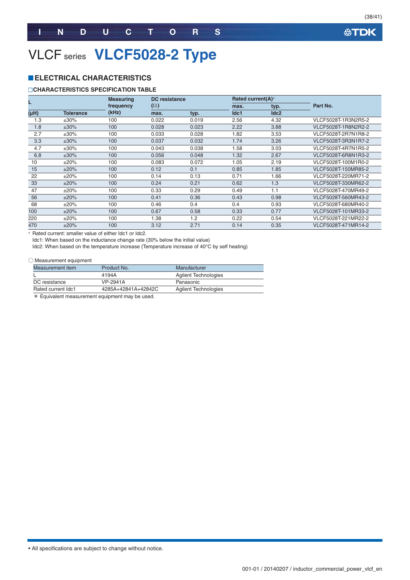### VLCF series **VLCF5028-2 Type**

#### **ELECTRICAL CHARACTERISTICS**

#### **CHARACTERISTICS SPECIFICATION TABLE**

|      |                  | <b>Measuring</b> |            | <b>DC</b> resistance |      | Rated current(A)* |                     |
|------|------------------|------------------|------------|----------------------|------|-------------------|---------------------|
|      |                  | frequency        | $(\Omega)$ |                      |      | typ.              | Part No.            |
| (HH) | <b>Tolerance</b> | (kHz)            | max.       | typ.                 | Idc1 | Idc2              |                     |
| 1.3  | ±30%             | 100              | 0.022      | 0.019                | 2.56 | 4.32              | VLCF5028T-1R3N2R5-2 |
| 1.8  | $±30\%$          | 100              | 0.028      | 0.023                | 2.22 | 3.88              | VLCF5028T-1R8N2R2-2 |
| 2.7  | $±30\%$          | 100              | 0.033      | 0.028                | 1.82 | 3.53              | VLCF5028T-2R7N1R8-2 |
| 3.3  | $±30\%$          | 100              | 0.037      | 0.032                | 1.74 | 3.26              | VLCF5028T-3R3N1R7-2 |
| 4.7  | $±30\%$          | 100              | 0.043      | 0.038                | 1.58 | 3.03              | VLCF5028T-4R7N1R5-2 |
| 6.8  | $±30\%$          | 100              | 0.056      | 0.048                | 1.32 | 2.67              | VLCF5028T-6R8N1R3-2 |
| 10   | ±20%             | 100              | 0.083      | 0.072                | 1.05 | 2.19              | VLCF5028T-100M1R0-2 |
| 15   | ±20%             | 100              | 0.12       | 0.1                  | 0.85 | 1.85              | VLCF5028T-150MR85-2 |
| 22   | ±20%             | 100              | 0.14       | 0.13                 | 0.71 | 1.66              | VLCF5028T-220MR71-2 |
| 33   | ±20%             | 100              | 0.24       | 0.21                 | 0.62 | 1.3               | VLCF5028T-330MR62-2 |
| 47   | ±20%             | 100              | 0.33       | 0.29                 | 0.49 | 1.1               | VLCF5028T-470MR49-2 |
| 56   | ±20%             | 100              | 0.41       | 0.36                 | 0.43 | 0.98              | VLCF5028T-560MR43-2 |
| 68   | ±20%             | 100              | 0.46       | 0.4                  | 0.4  | 0.93              | VLCF5028T-680MR40-2 |
| 100  | ±20%             | 100              | 0.67       | 0.58                 | 0.33 | 0.77              | VLCF5028T-101MR33-2 |
| 220  | ±20%             | 100              | 1.38       | 1.2                  | 0.22 | 0.54              | VLCF5028T-221MR22-2 |
| 470  | ±20%             | 100              | 3.12       | 2.71                 | 0.14 | 0.35              | VLCF5028T-471MR14-2 |

- Rated current: smaller value of either Idc1 or Idc2.

Idc1: When based on the inductance change rate (30% below the initial value)

Idc2: When based on the temperature increase (Temperature increase of 40°C by self heating)

#### ○ Measurement equipment

| Measurement item   | Product No.         | Manufacturer                |
|--------------------|---------------------|-----------------------------|
|                    | 4194A               | Agilent Technologies        |
| DC resistance      | VP-2941A            | Panasonic                   |
| Rated current Idc1 | 4285A+42841A+42842C | <b>Agilent Technologies</b> |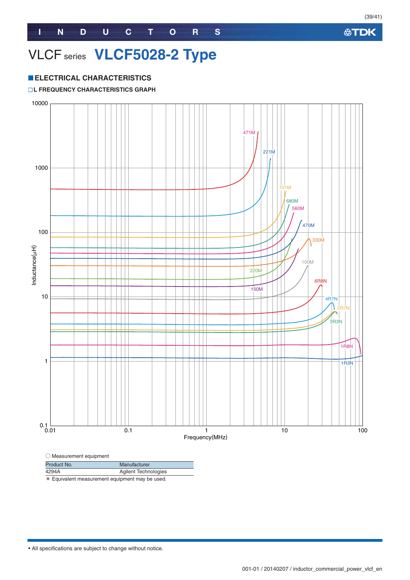### VLCF series **VLCF5028-2 Type**

#### **ELECTRICAL CHARACTERISTICS**

#### **L FREQUENCY CHARACTERISTICS GRAPH**



\* Equivalent measurement equipment may be used.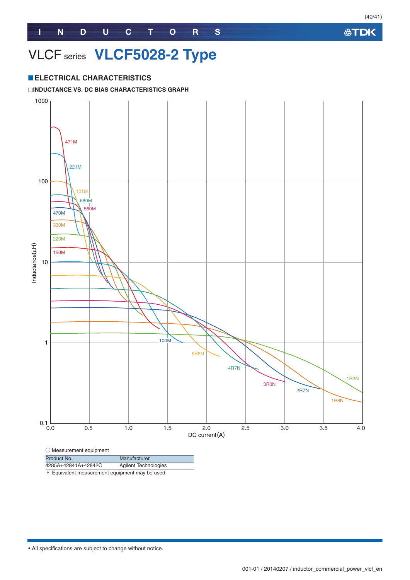### VLCF series **VLCF5028-2 Type**

#### **ELECTRICAL CHARACTERISTICS**

#### **INDUCTANCE VS. DC BIAS CHARACTERISTICS GRAPH**



| Product No.         | Manufacturer                |
|---------------------|-----------------------------|
| 4285A+42841A+42842C | <b>Agilent Technologies</b> |

\* Equivalent measurement equipment may be used.